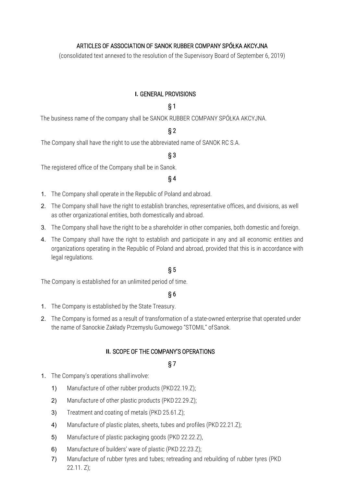## ARTICLES OF ASSOCIATION OF SANOK RUBBER COMPANY SPÓŁKA AKCYJNA

(consolidated text annexed to the resolution of the Supervisory Board of September 6, 2019)

## **I.** GENERAL PROVISIONS

# § 1

The business name of the company shall be SANOK RUBBER COMPANY SPÓŁKA AKCYJNA.

# § 2

The Company shall have the right to use the abbreviated name of SANOK RC S.A.

## § 3

The registered office of the Company shall be in Sanok.

### § 4

- 1. The Company shall operate in the Republic of Poland and abroad.
- 2. The Company shall have the right to establish branches, representative offices, and divisions, as well as other organizational entities, both domestically and abroad.
- 3. The Company shall have the right to be a shareholder in other companies, both domestic and foreign.
- 4. The Company shall have the right to establish and participate in any and all economic entities and organizations operating in the Republic of Poland and abroad, provided that this is in accordance with legal regulations.

# § 5

The Company is established for an unlimited period of time.

## § 6

- 1. The Company is established by the State Treasury.
- 2. The Company is formed as a result of transformation of a state-owned enterprise that operated under the name of Sanockie Zakłady Przemysłu Gumowego "STOMIL" of Sanok.

### **II.** SCOPE OF THE COMPANY'S OPERATIONS

- 1. The Company's operations shall involve:
	- 1) Manufacture of other rubber products (PKD22.19.Z);
	- 2) Manufacture of other plastic products (PKD22.29.Z);
	- 3) Treatment and coating of metals (PKD 25.61.Z);
	- 4) Manufacture of plastic plates, sheets, tubes and profiles (PKD 22.21.2);
	- 5) Manufacture of plastic packaging goods (PKD 22.22.Z),
	- 6) Manufacture of builders' ware of plastic (PKD 22.23.Z);
	- 7) Manufacture of rubber tyres and tubes; retreading and rebuilding of rubber tyres (PKD 22.11. Z);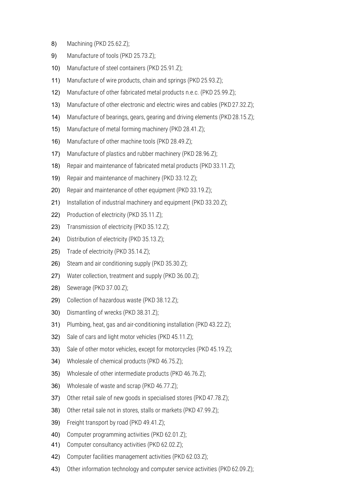- 8) Machining (PKD 25.62.Z);
- 9) Manufacture of tools (PKD 25.73.Z);
- 10) Manufacture of steel containers (PKD 25.91.Z);
- 11) Manufacture of wire products, chain and springs (PKD 25.93.Z);
- 12) Manufacture of other fabricated metal products n.e.c. (PKD 25.99.Z);
- 13) Manufacture of other electronic and electric wires and cables (PKD 27.32.Z);
- 14) Manufacture of bearings, gears, gearing and driving elements (PKD 28.15.2);
- 15) Manufacture of metal forming machinery (PKD 28.41.Z);
- 16) Manufacture of other machine tools (PKD 28.49.Z);
- 17) Manufacture of plastics and rubber machinery (PKD 28.96.Z);
- 18) Repair and maintenance of fabricated metal products (PKD 33.11.Z);
- 19) Repair and maintenance of machinery (PKD 33.12.Z);
- 20) Repair and maintenance of other equipment (PKD 33.19.7);
- 21) Installation of industrial machinery and equipment (PKD 33.20.7);
- 22) Production of electricity (PKD 35.11.Z);
- 23) Transmission of electricity (PKD 35.12.Z);
- 24) Distribution of electricity (PKD 35.13.Z);
- 25) Trade of electricity (PKD 35.14.Z);
- 26) Steam and air conditioning supply (PKD 35.30.Z);
- 27) Water collection, treatment and supply (PKD 36.00.Z);
- 28) Sewerage (PKD 37.00.Z);
- 29) Collection of hazardous waste (PKD 38.12.Z);
- 30) Dismantling of wrecks (PKD 38.31.Z);
- 31) Plumbing, heat, gas and air-conditioning installation (PKD 43.22.Z);
- 32) Sale of cars and light motor vehicles (PKD 45.11.Z);
- 33) Sale of other motor vehicles, except for motorcycles (PKD 45.19.2);
- 34) Wholesale of chemical products (PKD 46.75.Z);
- 35) Wholesale of other intermediate products (PKD 46.76.Z);
- 36) Wholesale of waste and scrap (PKD 46.77.Z);
- 37) Other retail sale of new goods in specialised stores (PKD 47.78.2);
- 38) Other retail sale not in stores, stalls or markets (PKD 47.99.7);
- 39) Freight transport by road (PKD 49.41.Z);
- 40) Computer programming activities (PKD 62.01.Z);
- 41) Computer consultancy activities (PKD 62.02.Z);
- 42) Computer facilities management activities (PKD 62.03.Z);
- 43) Other information technology and computer service activities (PKD 62.09.2);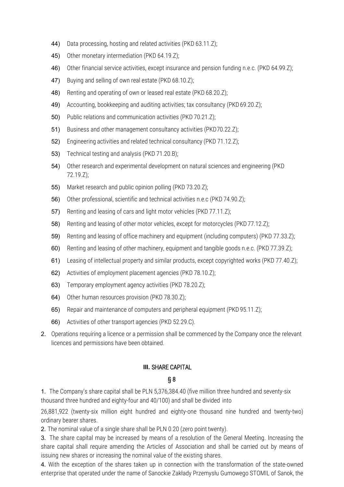- 44) Data processing, hosting and related activities (PKD 63.11.Z);
- 45) Other monetary intermediation (PKD 64.19.Z);
- 46) Other financial service activities, except insurance and pension funding n.e.c. (PKD 64.99.Z);
- 47) Buying and selling of own real estate (PKD 68.10.Z);
- 48) Renting and operating of own or leased real estate (PKD 68.20.7);
- 49) Accounting, bookkeeping and auditing activities; tax consultancy (PKD 69.20.2);
- 50) Public relations and communication activities (PKD 70.21.Z);
- 51) Business and other management consultancy activities (PKD70.22.Z);
- 52) Engineering activities and related technical consultancy (PKD 71.12.Z);
- 53) Technical testing and analysis (PKD 71.20.B);
- 54) Other research and experimental development on natural sciences and engineering (PKD 72.19.Z);
- 55) Market research and public opinion polling (PKD 73.20.Z);
- 56) Other professional, scientific and technical activities n.e.c (PKD 74.90.Z);
- 57) Renting and leasing of cars and light motor vehicles (PKD 77.11.Z);
- 58) Renting and leasing of other motor vehicles, except for motorcycles (PKD77.12.Z);
- 59) Renting and leasing of office machinery and equipment (including computers) (PKD 77.33.Z);
- 60) Renting and leasing of other machinery, equipment and tangible goods n.e.c. (PKD 77.39.Z);
- 61) Leasing of intellectual property and similar products, except copyrighted works (PKD 77.40.Z);
- 62) Activities of employment placement agencies (PKD 78.10.Z);
- 63) Temporary employment agency activities (PKD 78.20.Z);
- 64) Other human resources provision (PKD 78.30.Z);
- 65) Repair and maintenance of computers and peripheral equipment (PKD95.11.Z);
- 66) Activities of other transport agencies (PKD 52.29.C).
- 2. Operations requiring a licence or a permission shall be commenced by the Company once the relevant licences and permissions have been obtained.

### **III.** SHARE CAPITAL

### § 8

1. The Company's share capital shall be PLN 5,376,384.40 (five million three hundred and seventy-six thousand three hundred and eighty-four and 40/100) and shall be divided into

26,881,922 (twenty-six million eight hundred and eighty-one thousand nine hundred and twenty-two) ordinary bearer shares.

2. The nominal value of a single share shall be PLN 0.20 (zero point twenty).

3. The share capital may be increased by means of a resolution of the General Meeting. Increasing the share capital shall require amending the Articles of Association and shall be carried out by means of issuing new shares or increasing the nominal value of the existing shares.

4. With the exception of the shares taken up in connection with the transformation of the state-owned enterprise that operated under the name of Sanockie Zakłady Przemysłu Gumowego STOMIL of Sanok, the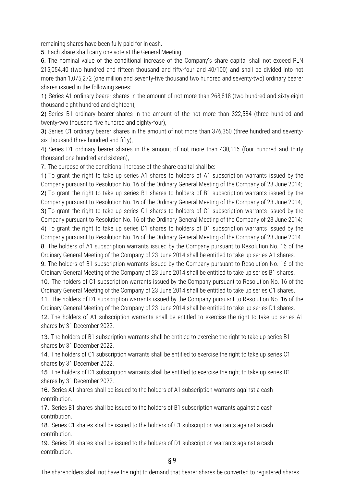remaining shares have been fully paid for in cash.

5. Each share shall carry one vote at the General Meeting.

6. The nominal value of the conditional increase of the Company's share capital shall not exceed PLN 215,054.40 (two hundred and fifteen thousand and fifty-four and 40/100) and shall be divided into not more than 1,075,272 (one million and seventy-five thousand two hundred and seventy-two) ordinary bearer shares issued in the following series:

1) Series A1 ordinary bearer shares in the amount of not more than 268,818 (two hundred and sixty-eight thousand eight hundred and eighteen),

2) Series B1 ordinary bearer shares in the amount of the not more than 322,584 (three hundred and twenty-two thousand five hundred and eighty-four),

3) Series C1 ordinary bearer shares in the amount of not more than 376,350 (three hundred and seventysix thousand three hundred and fifty),

4) Series D1 ordinary bearer shares in the amount of not more than 430,116 (four hundred and thirty thousand one hundred and sixteen),

7. The purpose of the conditional increase of the share capital shall be:

1) To grant the right to take up series A1 shares to holders of A1 subscription warrants issued by the Company pursuant to Resolution No. 16 of the Ordinary General Meeting of the Company of 23 June 2014; 2) To grant the right to take up series B1 shares to holders of B1 subscription warrants issued by the Company pursuant to Resolution No. 16 of the Ordinary General Meeting of the Company of 23 June 2014; 3) To grant the right to take up series C1 shares to holders of C1 subscription warrants issued by the Company pursuant to Resolution No. 16 of the Ordinary General Meeting of the Company of 23 June 2014; 4) To grant the right to take up series D1 shares to holders of D1 subscription warrants issued by the Company pursuant to Resolution No. 16 of the Ordinary General Meeting of the Company of 23 June 2014. 8. The holders of A1 subscription warrants issued by the Company pursuant to Resolution No. 16 of the Ordinary General Meeting of the Company of 23 June 2014 shall be entitled to take up series A1 shares. 9. The holders of B1 subscription warrants issued by the Company pursuant to Resolution No. 16 of the Ordinary General Meeting of the Company of 23 June 2014 shall be entitled to take up series B1 shares. 10. The holders of C1 subscription warrants issued by the Company pursuant to Resolution No. 16 of the Ordinary General Meeting of the Company of 23 June 2014 shall be entitled to take up series C1 shares. 11. The holders of D1 subscription warrants issued by the Company pursuant to Resolution No. 16 of the

Ordinary General Meeting of the Company of 23 June 2014 shall be entitled to take up series D1 shares. 12. The holders of A1 subscription warrants shall be entitled to exercise the right to take up series A1 shares by 31 December 2022.

13. The holders of B1 subscription warrants shall be entitled to exercise the right to take up series B1 shares by 31 December 2022.

14. The holders of C1 subscription warrants shall be entitled to exercise the right to take up series C1 shares by 31 December 2022.

15. The holders of D1 subscription warrants shall be entitled to exercise the right to take up series D1 shares by 31 December 2022.

16. Series A1 shares shall be issued to the holders of A1 subscription warrants against a cash contribution.

17. Series B1 shares shall be issued to the holders of B1 subscription warrants against a cash contribution.

18. Series C1 shares shall be issued to the holders of C1 subscription warrants against a cash contribution.

19. Series D1 shares shall be issued to the holders of D1 subscription warrants against a cash contribution.

§ 9

The shareholders shall not have the right to demand that bearer shares be converted to registered shares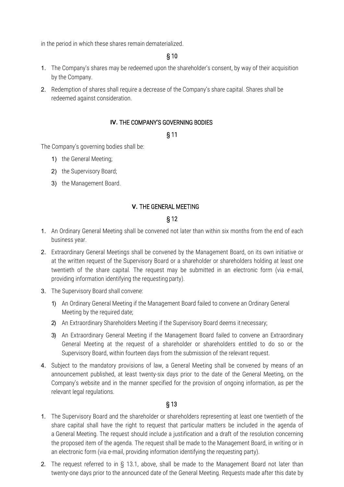in the period in which these shares remain dematerialized.

#### § 10

- 1. The Company's shares may be redeemed upon the shareholder's consent, by way of their acquisition by the Company.
- 2. Redemption of shares shall require a decrease of the Company's share capital. Shares shall be redeemed against consideration.

### **IV.** THE COMPANY'S GOVERNING BODIES

### § 11

The Company's governing bodies shall be:

- 1) the General Meeting;
- 2) the Supervisory Board;
- 3) the Management Board.

### **V.** THE GENERAL MEETING

### § 12

- 1. An Ordinary General Meeting shall be convened not later than within six months from the end of each business year.
- 2. Extraordinary General Meetings shall be convened by the Management Board, on its own initiative or at the written request of the Supervisory Board or a shareholder or shareholders holding at least one twentieth of the share capital. The request may be submitted in an electronic form (via e-mail, providing information identifying the requesting party).
- 3. The Supervisory Board shall convene:
	- 1) An Ordinary General Meeting if the Management Board failed to convene an Ordinary General Meeting by the required date;
	- 2) An Extraordinary Shareholders Meeting if the Supervisory Board deems itnecessary;
	- 3) An Extraordinary General Meeting if the Management Board failed to convene an Extraordinary General Meeting at the request of a shareholder or shareholders entitled to do so or the Supervisory Board, within fourteen days from the submission of the relevant request.
- 4. Subject to the mandatory provisions of law, a General Meeting shall be convened by means of an announcement published, at least twenty-six days prior to the date of the General Meeting, on the Company's website and in the manner specified for the provision of ongoing information, as per the relevant legal regulations.

- 1. The Supervisory Board and the shareholder or shareholders representing at least one twentieth of the share capital shall have the right to request that particular matters be included in the agenda of a General Meeting. The request should include a justification and a draft of the resolution concerning the proposed item of the agenda. The request shall be made to the Management Board, in writing or in an electronic form (via e-mail, providing information identifying the requesting party).
- 2. The request referred to in § 13.1, above, shall be made to the Management Board not later than twenty-one days prior to the announced date of the General Meeting. Requests made after this date by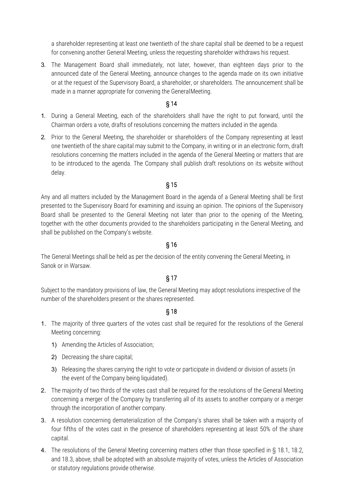a shareholder representing at least one twentieth of the share capital shall be deemed to be a request for convening another General Meeting, unless the requesting shareholder withdraws his request.

3. The Management Board shall immediately, not later, however, than eighteen days prior to the announced date of the General Meeting, announce changes to the agenda made on its own initiative or at the request of the Supervisory Board, a shareholder, or shareholders. The announcement shall be made in a manner appropriate for convening the GeneralMeeting.

## § 14

- 1. During a General Meeting, each of the shareholders shall have the right to put forward, until the Chairman orders a vote, drafts of resolutions concerning the matters included in the agenda.
- 2. Prior to the General Meeting, the shareholder or shareholders of the Company representing at least one twentieth of the share capital may submit to the Company, in writing or in an electronic form, draft resolutions concerning the matters included in the agenda of the General Meeting or matters that are to be introduced to the agenda. The Company shall publish draft resolutions on its website without delay.

# § 15

Any and all matters included by the Management Board in the agenda of a General Meeting shall be first presented to the Supervisory Board for examining and issuing an opinion. The opinions of the Supervisory Board shall be presented to the General Meeting not later than prior to the opening of the Meeting, together with the other documents provided to the shareholders participating in the General Meeting, and shall be published on the Company's website.

# § 16

The General Meetings shall be held as per the decision of the entity convening the General Meeting, in Sanok or in Warsaw.

# § 17

Subject to the mandatory provisions of law, the General Meeting may adopt resolutions irrespective of the number of the shareholders present or the shares represented.

- 1. The majority of three quarters of the votes cast shall be required for the resolutions of the General Meeting concerning:
	- 1) Amending the Articles of Association;
	- 2) Decreasing the share capital;
	- 3) Releasing the shares carrying the right to vote or participate in dividend or division of assets (in the event of the Company being liquidated).
- 2. The majority of two thirds of the votes cast shall be required for the resolutions of the General Meeting concerning a merger of the Company by transferring all of its assets to another company or a merger through the incorporation of another company.
- 3. A resolution concerning dematerialization of the Company's shares shall be taken with a majority of four fifths of the votes cast in the presence of shareholders representing at least 50% of the share capital.
- 4. The resolutions of the General Meeting concerning matters other than those specified in § 18.1, 18.2, and 18.3, above, shall be adopted with an absolute majority of votes, unless the Articles of Association or statutory regulations provide otherwise.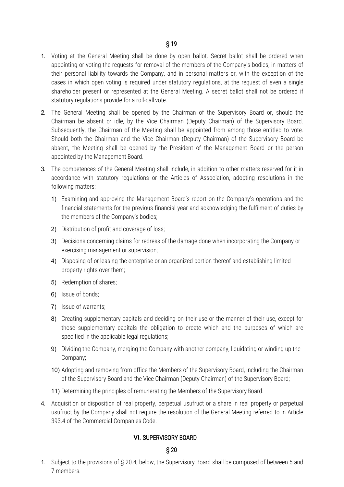- 1. Voting at the General Meeting shall be done by open ballot. Secret ballot shall be ordered when appointing or voting the requests for removal of the members of the Company's bodies, in matters of their personal liability towards the Company, and in personal matters or, with the exception of the cases in which open voting is required under statutory regulations, at the request of even a single shareholder present or represented at the General Meeting. A secret ballot shall not be ordered if statutory regulations provide for a roll-call vote.
- 2. The General Meeting shall be opened by the Chairman of the Supervisory Board or, should the Chairman be absent or idle, by the Vice Chairman (Deputy Chairman) of the Supervisory Board. Subsequently, the Chairman of the Meeting shall be appointed from among those entitled to vote. Should both the Chairman and the Vice Chairman (Deputy Chairman) of the Supervisory Board be absent, the Meeting shall be opened by the President of the Management Board or the person appointed by the Management Board.
- 3. The competences of the General Meeting shall include, in addition to other matters reserved for it in accordance with statutory regulations or the Articles of Association, adopting resolutions in the following matters:
	- 1) Examining and approving the Management Board's report on the Company's operations and the financial statements for the previous financial year and acknowledging the fulfilment of duties by the members of the Company's bodies;
	- 2) Distribution of profit and coverage of loss;
	- 3) Decisions concerning claims for redress of the damage done when incorporating the Company or exercising management or supervision;
	- 4) Disposing of or leasing the enterprise or an organized portion thereof and establishing limited property rights over them;
	- 5) Redemption of shares;
	- 6) Issue of bonds;
	- 7) Issue of warrants;
	- 8) Creating supplementary capitals and deciding on their use or the manner of their use, except for those supplementary capitals the obligation to create which and the purposes of which are specified in the applicable legal regulations;
	- 9) Dividing the Company, merging the Company with another company, liquidating or winding up the Company;
	- 10) Adopting and removing from office the Members of the Supervisory Board, including the Chairman of the Supervisory Board and the Vice Chairman (Deputy Chairman) of the Supervisory Board;
	- 11) Determining the principles of remunerating the Members of the Supervisory Board.
- 4. Acquisition or disposition of real property, perpetual usufruct or a share in real property or perpetual usufruct by the Company shall not require the resolution of the General Meeting referred to in Article 393.4 of the Commercial Companies Code.

### **VI.** SUPERVISORY BOARD

#### § 20

1. Subject to the provisions of § 20.4, below, the Supervisory Board shall be composed of between 5 and 7 members.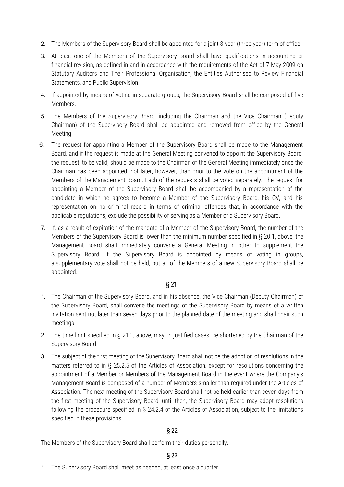- 2. The Members of the Supervisory Board shall be appointed for a joint 3-year (three-year) term of office.
- 3. At least one of the Members of the Supervisory Board shall have qualifications in accounting or financial revision, as defined in and in accordance with the requirements of the Act of 7 May 2009 on Statutory Auditors and Their Professional Organisation, the Entities Authorised to Review Financial Statements, and Public Supervision.
- 4. If appointed by means of voting in separate groups, the Supervisory Board shall be composed of five Members.
- 5. The Members of the Supervisory Board, including the Chairman and the Vice Chairman (Deputy Chairman) of the Supervisory Board shall be appointed and removed from office by the General Meeting.
- 6. The request for appointing a Member of the Supervisory Board shall be made to the Management Board, and if the request is made at the General Meeting convened to appoint the Supervisory Board, the request, to be valid, should be made to the Chairman of the General Meeting immediately once the Chairman has been appointed, not later, however, than prior to the vote on the appointment of the Members of the Management Board. Each of the requests shall be voted separately. The request for appointing a Member of the Supervisory Board shall be accompanied by a representation of the candidate in which he agrees to become a Member of the Supervisory Board, his CV, and his representation on no criminal record in terms of criminal offences that, in accordance with the applicable regulations, exclude the possibility of serving as a Member of a Supervisory Board.
- 7. If, as a result of expiration of the mandate of a Member of the Supervisory Board, the number of the Members of the Supervisory Board is lower than the minimum number specified in § 20.1, above, the Management Board shall immediately convene a General Meeting in other to supplement the Supervisory Board. If the Supervisory Board is appointed by means of voting in groups, a supplementary vote shall not be held, but all of the Members of a new Supervisory Board shall be appointed.

## § 21

- 1. The Chairman of the Supervisory Board, and in his absence, the Vice Chairman (Deputy Chairman) of the Supervisory Board, shall convene the meetings of the Supervisory Board by means of a written invitation sent not later than seven days prior to the planned date of the meeting and shall chair such meetings.
- 2. The time limit specified in § 21.1, above, may, in justified cases, be shortened by the Chairman of the Supervisory Board.
- 3. The subject of the first meeting of the Supervisory Board shall not be the adoption of resolutions in the matters referred to in § 25.2.5 of the Articles of Association, except for resolutions concerning the appointment of a Member or Members of the Management Board in the event where the Company's Management Board is composed of a number of Members smaller than required under the Articles of Association. The next meeting of the Supervisory Board shall not be held earlier than seven days from the first meeting of the Supervisory Board; until then, the Supervisory Board may adopt resolutions following the procedure specified in § 24.2.4 of the Articles of Association, subject to the limitations specified in these provisions.

## § 22

The Members of the Supervisory Board shall perform their duties personally.

## § 23

1. The Supervisory Board shall meet as needed, at least once a quarter.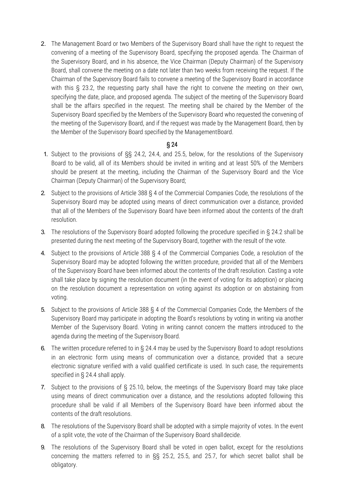2. The Management Board or two Members of the Supervisory Board shall have the right to request the convening of a meeting of the Supervisory Board, specifying the proposed agenda. The Chairman of the Supervisory Board, and in his absence, the Vice Chairman (Deputy Chairman) of the Supervisory Board, shall convene the meeting on a date not later than two weeks from receiving the request. If the Chairman of the Supervisory Board fails to convene a meeting of the Supervisory Board in accordance with this § 23.2, the requesting party shall have the right to convene the meeting on their own, specifying the date, place, and proposed agenda. The subject of the meeting of the Supervisory Board shall be the affairs specified in the request. The meeting shall be chaired by the Member of the Supervisory Board specified by the Members of the Supervisory Board who requested the convening of the meeting of the Supervisory Board, and if the request was made by the Management Board, then by the Member of the Supervisory Board specified by the ManagementBoard.

- 1. Subject to the provisions of §§ 24.2, 24.4, and 25.5, below, for the resolutions of the Supervisory Board to be valid, all of its Members should be invited in writing and at least 50% of the Members should be present at the meeting, including the Chairman of the Supervisory Board and the Vice Chairman (Deputy Chairman) of the Supervisory Board;
- 2. Subject to the provisions of Article 388 § 4 of the Commercial Companies Code, the resolutions of the Supervisory Board may be adopted using means of direct communication over a distance, provided that all of the Members of the Supervisory Board have been informed about the contents of the draft resolution.
- 3. The resolutions of the Supervisory Board adopted following the procedure specified in § 24.2 shall be presented during the next meeting of the Supervisory Board, together with the result of the vote.
- 4. Subject to the provisions of Article 388 § 4 of the Commercial Companies Code, a resolution of the Supervisory Board may be adopted following the written procedure, provided that all of the Members of the Supervisory Board have been informed about the contents of the draft resolution. Casting a vote shall take place by signing the resolution document (in the event of voting for its adoption) or placing on the resolution document a representation on voting against its adoption or on abstaining from voting.
- 5. Subject to the provisions of Article 388 § 4 of the Commercial Companies Code, the Members of the Supervisory Board may participate in adopting the Board's resolutions by voting in writing via another Member of the Supervisory Board. Voting in writing cannot concern the matters introduced to the agenda during the meeting of the Supervisory Board.
- 6. The written procedure referred to in § 24.4 may be used by the Supervisory Board to adopt resolutions in an electronic form using means of communication over a distance, provided that a secure electronic signature verified with a valid qualified certificate is used. In such case, the requirements specified in § 24.4 shall apply.
- 7. Subject to the provisions of § 25.10, below, the meetings of the Supervisory Board may take place using means of direct communication over a distance, and the resolutions adopted following this procedure shall be valid if all Members of the Supervisory Board have been informed about the contents of the draft resolutions.
- 8. The resolutions of the Supervisory Board shall be adopted with a simple majority of votes. In the event of a split vote, the vote of the Chairman of the Supervisory Board shalldecide.
- 9. The resolutions of the Supervisory Board shall be voted in open ballot, except for the resolutions concerning the matters referred to in §§ 25.2, 25.5, and 25.7, for which secret ballot shall be obligatory.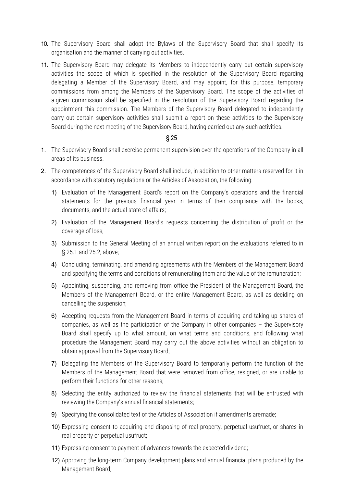- 10. The Supervisory Board shall adopt the Bylaws of the Supervisory Board that shall specify its organisation and the manner of carrying out activities.
- 11. The Supervisory Board may delegate its Members to independently carry out certain supervisory activities the scope of which is specified in the resolution of the Supervisory Board regarding delegating a Member of the Supervisory Board, and may appoint, for this purpose, temporary commissions from among the Members of the Supervisory Board. The scope of the activities of a given commission shall be specified in the resolution of the Supervisory Board regarding the appointment this commission. The Members of the Supervisory Board delegated to independently carry out certain supervisory activities shall submit a report on these activities to the Supervisory Board during the next meeting of the Supervisory Board, having carried out any such activities.

- 1. The Supervisory Board shall exercise permanent supervision over the operations of the Company in all areas of its business.
- 2. The competences of the Supervisory Board shall include, in addition to other matters reserved for it in accordance with statutory regulations or the Articles of Association, the following:
	- 1) Evaluation of the Management Board's report on the Company's operations and the financial statements for the previous financial year in terms of their compliance with the books, documents, and the actual state of affairs;
	- 2) Evaluation of the Management Board's requests concerning the distribution of profit or the coverage of loss;
	- 3) Submission to the General Meeting of an annual written report on the evaluations referred to in § 25.1 and 25.2, above;
	- 4) Concluding, terminating, and amending agreements with the Members of the Management Board and specifying the terms and conditions of remunerating them and the value of the remuneration;
	- 5) Appointing, suspending, and removing from office the President of the Management Board, the Members of the Management Board, or the entire Management Board, as well as deciding on cancelling the suspension;
	- 6) Accepting requests from the Management Board in terms of acquiring and taking up shares of companies, as well as the participation of the Company in other companies – the Supervisory Board shall specify up to what amount, on what terms and conditions, and following what procedure the Management Board may carry out the above activities without an obligation to obtain approval from the Supervisory Board;
	- 7) Delegating the Members of the Supervisory Board to temporarily perform the function of the Members of the Management Board that were removed from office, resigned, or are unable to perform their functions for other reasons;
	- 8) Selecting the entity authorized to review the financial statements that will be entrusted with reviewing the Company's annual financial statements;
	- 9) Specifying the consolidated text of the Articles of Association if amendments aremade;
	- 10) Expressing consent to acquiring and disposing of real property, perpetual usufruct, or shares in real property or perpetual usufruct;
	- 11) Expressing consent to payment of advances towards the expected dividend;
	- 12) Approving the long-term Company development plans and annual financial plans produced by the Management Board;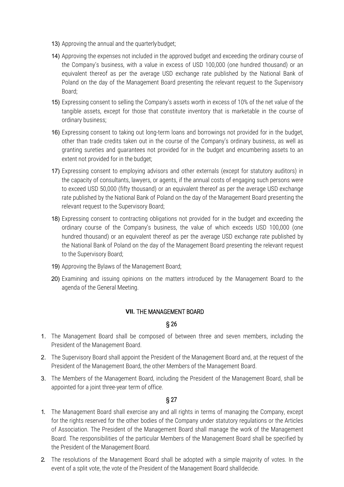- 13) Approving the annual and the quarterly budget;
- 14) Approving the expenses not included in the approved budget and exceeding the ordinary course of the Company's business, with a value in excess of USD 100,000 (one hundred thousand) or an equivalent thereof as per the average USD exchange rate published by the National Bank of Poland on the day of the Management Board presenting the relevant request to the Supervisory Board;
- 15) Expressing consent to selling the Company's assets worth in excess of 10% of the net value of the tangible assets, except for those that constitute inventory that is marketable in the course of ordinary business;
- 16) Expressing consent to taking out long-term loans and borrowings not provided for in the budget, other than trade credits taken out in the course of the Company's ordinary business, as well as granting sureties and guarantees not provided for in the budget and encumbering assets to an extent not provided for in the budget;
- 17) Expressing consent to employing advisors and other externals (except for statutory auditors) in the capacity of consultants, lawyers, or agents, if the annual costs of engaging such persons were to exceed USD 50,000 (fifty thousand) or an equivalent thereof as per the average USD exchange rate published by the National Bank of Poland on the day of the Management Board presenting the relevant request to the Supervisory Board;
- 18) Expressing consent to contracting obligations not provided for in the budget and exceeding the ordinary course of the Company's business, the value of which exceeds USD 100,000 (one hundred thousand) or an equivalent thereof as per the average USD exchange rate published by the National Bank of Poland on the day of the Management Board presenting the relevant request to the Supervisory Board;
- 19) Approving the Bylaws of the Management Board;
- 20) Examining and issuing opinions on the matters introduced by the Management Board to the agenda of the General Meeting.

### **VII.** THE MANAGEMENT BOARD

#### § 26

- 1. The Management Board shall be composed of between three and seven members, including the President of the Management Board.
- 2. The Supervisory Board shall appoint the President of the Management Board and, at the request of the President of the Management Board, the other Members of the Management Board.
- 3. The Members of the Management Board, including the President of the Management Board, shall be appointed for a joint three-year term of office.

- 1. The Management Board shall exercise any and all rights in terms of managing the Company, except for the rights reserved for the other bodies of the Company under statutory regulations or the Articles of Association. The President of the Management Board shall manage the work of the Management Board. The responsibilities of the particular Members of the Management Board shall be specified by the President of the Management Board.
- 2. The resolutions of the Management Board shall be adopted with a simple majority of votes. In the event of a split vote, the vote of the President of the Management Board shalldecide.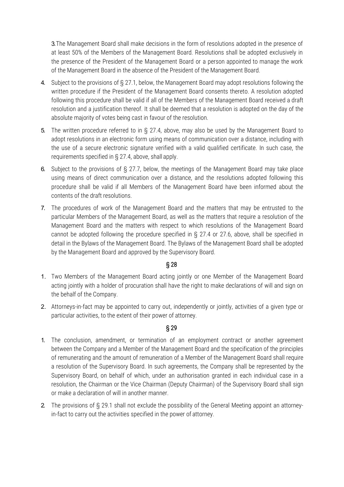3.The Management Board shall make decisions in the form of resolutions adopted in the presence of at least 50% of the Members of the Management Board. Resolutions shall be adopted exclusively in the presence of the President of the Management Board or a person appointed to manage the work of the Management Board in the absence of the President of the Management Board.

- 4. Subject to the provisions of § 27.1, below, the Management Board may adopt resolutions following the written procedure if the President of the Management Board consents thereto. A resolution adopted following this procedure shall be valid if all of the Members of the Management Board received a draft resolution and a justification thereof. It shall be deemed that a resolution is adopted on the day of the absolute majority of votes being cast in favour of the resolution.
- 5. The written procedure referred to in § 27.4, above, may also be used by the Management Board to adopt resolutions in an electronic form using means of communication over a distance, including with the use of a secure electronic signature verified with a valid qualified certificate. In such case, the requirements specified in § 27.4, above, shall apply.
- 6. Subject to the provisions of § 27.7, below, the meetings of the Management Board may take place using means of direct communication over a distance, and the resolutions adopted following this procedure shall be valid if all Members of the Management Board have been informed about the contents of the draft resolutions.
- 7. The procedures of work of the Management Board and the matters that may be entrusted to the particular Members of the Management Board, as well as the matters that require a resolution of the Management Board and the matters with respect to which resolutions of the Management Board cannot be adopted following the procedure specified in § 27.4 or 27.6, above, shall be specified in detail in the Bylaws of the Management Board. The Bylaws of the Management Board shall be adopted by the Management Board and approved by the Supervisory Board.

## § 28

- 1. Two Members of the Management Board acting jointly or one Member of the Management Board acting jointly with a holder of procuration shall have the right to make declarations of will and sign on the behalf of the Company.
- 2. Attorneys-in-fact may be appointed to carry out, independently or jointly, activities of a given type or particular activities, to the extent of their power of attorney.

- 1. The conclusion, amendment, or termination of an employment contract or another agreement between the Company and a Member of the Management Board and the specification of the principles of remunerating and the amount of remuneration of a Member of the Management Board shall require a resolution of the Supervisory Board. In such agreements, the Company shall be represented by the Supervisory Board, on behalf of which, under an authorisation granted in each individual case in a resolution, the Chairman or the Vice Chairman (Deputy Chairman) of the Supervisory Board shall sign or make a declaration of will in another manner.
- 2. The provisions of § 29.1 shall not exclude the possibility of the General Meeting appoint an attorneyin-fact to carry out the activities specified in the power of attorney.